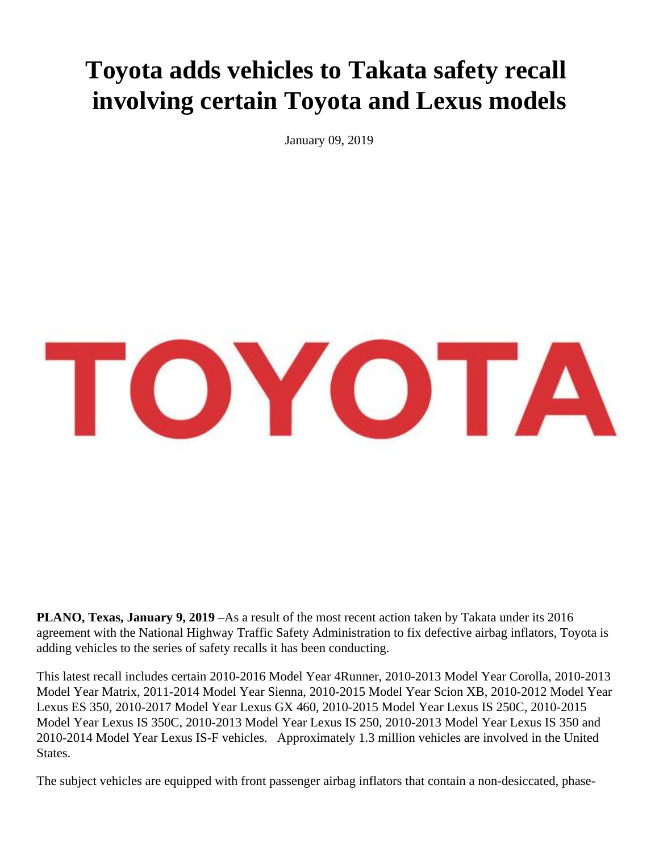## **Toyota adds vehicles to Takata safety recall involving certain Toyota and Lexus models**

January 09, 2019



**PLANO, Texas, January 9, 2019** –As a result of the most recent action taken by Takata under its 2016 agreement with the National Highway Traffic Safety Administration to fix defective airbag inflators, Toyota is adding vehicles to the series of safety recalls it has been conducting.

This latest recall includes certain 2010-2016 Model Year 4Runner, 2010-2013 Model Year Corolla, 2010-2013 Model Year Matrix, 2011-2014 Model Year Sienna, 2010-2015 Model Year Scion XB, 2010-2012 Model Year Lexus ES 350, 2010-2017 Model Year Lexus GX 460, 2010-2015 Model Year Lexus IS 250C, 2010-2015 Model Year Lexus IS 350C, 2010-2013 Model Year Lexus IS 250, 2010-2013 Model Year Lexus IS 350 and 2010-2014 Model Year Lexus IS-F vehicles. Approximately 1.3 million vehicles are involved in the United States.

The subject vehicles are equipped with front passenger airbag inflators that contain a non-desiccated, phase-